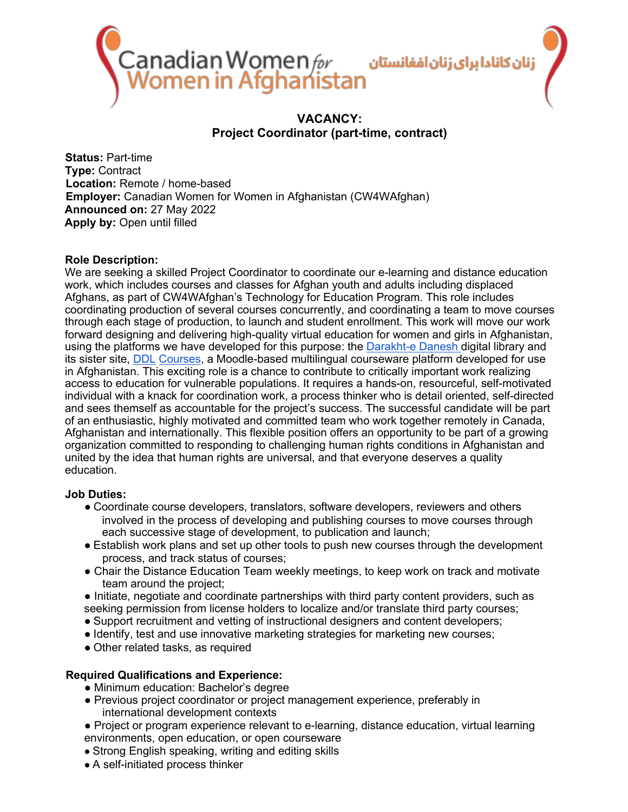

# **VACANCY: Project Coordinator (part-time, contract)**

**Status:** Part-time **Type:** Contract **Location:** Remote / home-based **Employer:** Canadian Women for Women in Afghanistan (CW4WAfghan) **Announced on:** 27 May 2022 **Apply by:** Open until filled

### **Role Description:**

We are seeking a skilled Project Coordinator to coordinate our e-learning and distance education work, which includes courses and classes for Afghan youth and adults including displaced Afghans, as part of CW4WAfghan's Technology for Education Program. This role includes coordinating production of several courses concurrently, and coordinating a team to move courses through each stage of production, to launch and student enrollment. This work will move our work forward designing and delivering high-quality virtual education for women and girls in Afghanistan, using the platforms we have developed for this purpose: the Darakht-e Danesh digital library and its sister site, DDL Courses, a Moodle-based multilingual courseware platform developed for use in Afghanistan. This exciting role is a chance to contribute to critically important work realizing access to education for vulnerable populations. It requires a hands-on, resourceful, self-motivated individual with a knack for coordination work, a process thinker who is detail oriented, self-directed and sees themself as accountable for the project's success. The successful candidate will be part of an enthusiastic, highly motivated and committed team who work together remotely in Canada, Afghanistan and internationally. This flexible position offers an opportunity to be part of a growing organization committed to responding to challenging human rights conditions in Afghanistan and united by the idea that human rights are universal, and that everyone deserves a quality education.

### **Job Duties:**

- Coordinate course developers, translators, software developers, reviewers and others involved in the process of developing and publishing courses to move courses through each successive stage of development, to publication and launch;
- Establish work plans and set up other tools to push new courses through the development process, and track status of courses;
- Chair the Distance Education Team weekly meetings, to keep work on track and motivate team around the project;
- Initiate, negotiate and coordinate partnerships with third party content providers, such as seeking permission from license holders to localize and/or translate third party courses;
- Support recruitment and vetting of instructional designers and content developers;
- Identify, test and use innovative marketing strategies for marketing new courses;
- Other related tasks, as required

### **Required Qualifications and Experience:**

- Minimum education: Bachelor's degree
- Previous project coordinator or project management experience, preferably in international development contexts
- Project or program experience relevant to e-learning, distance education, virtual learning environments, open education, or open courseware
- Strong English speaking, writing and editing skills
- A self-initiated process thinker